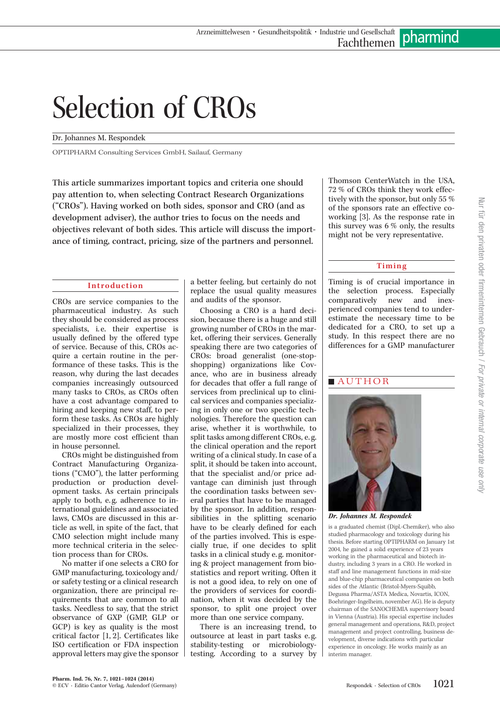# Selection of CROs

#### Dr. Johannes M. Respondek

 $\sigma$  services  $\sigma$  services gma $\sigma$ 

This article summarizes important topics and criteria one should pay attention to, when selecting Contract Research Organizations ("CROs"). Having worked on both sides, sponsor and CRO (and as development adviser), the author tries to focus on the needs and objectives relevant of both sides. This article will discuss the importance of timing, contract, pricing, size of the partners and personnel.

#### Introduction

CROs are service companies to the pharmaceutical industry. As such they should be considered as process specialists, i.e. their expertise is usually defined by the offered type of service. Because of this, CROs acquire a certain routine in the performance of these tasks. This is the reason, why during the last decades companies increasingly outsourced many tasks to CROs, as CROs often have a cost advantage compared to hiring and keeping new staff, to perform these tasks. As CROs are highly specialized in their processes, they are mostly more cost efficient than in house personnel.

CROs might be distinguished from Contract Manufacturing Organizations ("CMO"), the latter performing production or production development tasks. As certain principals apply to both, e. g. adherence to international guidelines and associated laws, CMOs are discussed in this article as well, in spite of the fact, that CMO selection might include many more technical criteria in the selection process than for CROs.

No matter if one selects a CRO for GMP manufacturing, toxicology and/ or safety testing or a clinical research organization, there are principal requirements that are common to all tasks. Needless to say, that the strict observance of GXP (GMP, GLP or GCP) is key as quality is the most critical factor [1, 2]. Certificates like ISO certification or FDA inspection approval letters may give the sponsor a better feeling, but certainly do not replace the usual quality measures and audits of the sponsor.

Choosing a CRO is a hard decision, because there is a huge and still growing number of CROs in the market, offering their services. Generally speaking there are two categories of CROs: broad generalist (one-stopshopping) organizations like Covance, who are in business already for decades that offer a full range of services from preclinical up to clinical services and companies specializing in only one or two specific technologies. Therefore the question can arise, whether it is worthwhile, to split tasks among different CROs, e. g. the clinical operation and the report writing of a clinical study. In case of a split, it should be taken into account, that the specialist and/or price advantage can diminish just through the coordination tasks between several parties that have to be managed by the sponsor. In addition, responsibilities in the splitting scenario have to be clearly defined for each of the parties involved. This is especially true, if one decides to split tasks in a clinical study e. g. monitoring & project management from biostatistics and report writing. Often it is not a good idea, to rely on one of the providers of services for coordination, when it was decided by the sponsor, to split one project over more than one service company.

There is an increasing trend, to outsource at least in part tasks e. g. stability-testing or microbiologytesting. According to a survey by

Thomson CenterWatch in the USA, 72 % of CROs think they work effectively with the sponsor, but only 55 % of the sponsors rate an effective coworking [3]. As the response rate in this survey was 6 % only, the results might not be very representative.

#### Timing

Timing is of crucial importance in the selection process. Especially<br>comparatively new and inexnew and inexperienced companies tend to underestimate the necessary time to be dedicated for a CRO, to set up a study. In this respect there are no differences for a GMP manufacturer



Dr. Johannes M. Respondek

is a graduated chemist (Dipl.-Chemiker), who also studied pharmacology and toxicology during his thesis. Before starting OPTIPHARM on January 1st 2004, he gained a solid experience of 23 years working in the pharmaceutical and biotech industry, including 3 years in a CRO. He worked in staff and line management functions in mid-size and blue-chip pharmaceutical companies on both sides of the Atlantic (Bristol-Myers-Squibb, Degussa Pharma/ASTA Medica, Novartis, ICON, Boehringer-Ingelheim, november AG). He is deputy chairman of the SANOCHEMIA supervisory board in Vienna (Austria). His special expertise includes general management and operations, R&D, project management and project controlling, business development, diverse indications with particular experience in oncology. He works mainly as an interim manager.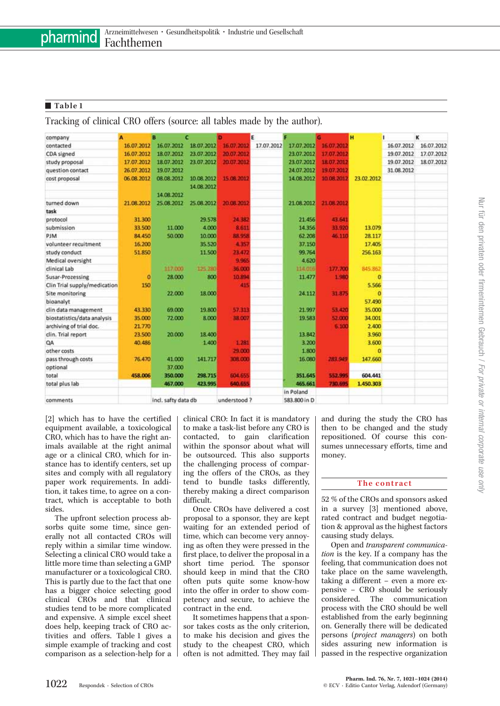#### Table 1

Tracking of clinical CRO offers (source: all tables made by the author).

| company                      | A          | в                   | c          |             | E          |              |            | н          |            | κ          |
|------------------------------|------------|---------------------|------------|-------------|------------|--------------|------------|------------|------------|------------|
| contacted                    | 16.07.2012 | 16.07.2012          | 18.07.2012 | 16.07.2012  | 17.07.2012 | 17.07.2012   | 16.07.2012 |            | 16.07.2012 | 16.07.2012 |
| CDA signed                   | 16.07.2012 | 18.07.2012          | 23.07.2012 | 20.07.2012  |            | 23.07.2012   | 17.07.2012 |            | 19.07.2012 | 17.07.2012 |
| study proposal               | 17.07.2012 | 18.07.2012          | 23.07.2012 | 20.07.2012  |            | 23.07.2012   | 18.07.2012 |            | 19.07.2012 | 18.07.2012 |
| question contact             | 26.07.2012 | 19.07.2012          |            |             |            | 24.07.2012   | 19.07.2012 |            | 31.08.2012 |            |
| cost proposal                | 06.08.2012 | 08.08.2012          | 10.08.2012 | 15.08.2012  |            | 14.08.2012   | 10 08 2012 | 23.02.2012 |            |            |
|                              |            |                     | 14.08.2012 |             |            |              |            |            |            |            |
|                              |            | 14.08.2012          |            |             |            |              |            |            |            |            |
| turned down                  | 21.08.2012 | 25.08.2012          | 25.08.2012 | 20.08.2012  |            | 21.08.2012   | 21.08.2012 |            |            |            |
| task                         |            |                     |            |             |            |              |            |            |            |            |
| protocol                     | 31.300     |                     | 29.578     | 24 382      |            | 21.456       | 43.641     |            |            |            |
| submission                   | 33.500     | 11.000              | 4.000      | 8.611       |            | 14.356       | 33.920     | 13.079     |            |            |
| <b>PJM</b>                   | 84,450     | 50,000              | 10,000     | 88.958      |            | 62.208       | 46.110     | 28.117     |            |            |
| volunteer recultment         | 16,200     |                     | 35,520     | 4.357       |            | 37.150       |            | 17,405     |            |            |
| study conduct                | 51.850     |                     | 11.500     | 23.472      |            | 99.764       |            | 256.163    |            |            |
| Medical oversight            |            |                     |            | 9.965       |            | 4,620        |            |            |            |            |
| clinical Lab                 |            | 117,000             | 125, 280   | 36.000      |            | 114.016      | 177,700    | 845.862    |            |            |
| Susar-Prozessing             | o          | 28.000              | 800        | 10.894      |            | 11.477       | 1.980      | o          |            |            |
| Clin Trial supply/medication | 150        |                     |            | 415         |            |              |            | 5.566      |            |            |
| Site monitoring              |            | 22.000              | 18.000     |             |            | 24.112       | 31 875     | $\Omega$   |            |            |
| bioanalyt                    |            |                     |            |             |            |              |            | 57.490     |            |            |
| clin data management         | 43.330     | 69.000              | 19,800     | 57.313      |            | 21.997       | 53.420     | 35,000     |            |            |
| biostatistics/data analysis  | 35.000     | 72.000              | 8.000      | 38.007      |            | 19.583       | 52.000     | 34.001     |            |            |
| archiving of trial doc.      | 21.770     |                     |            |             |            |              | 6.100      | 2.400      |            |            |
| clin. Trial report           | 23.500     | 20.000              | 18.400     |             |            | 13.842       |            | 3.960      |            |            |
| QA                           | 40.486     |                     | 1.400      | 1.281       |            | 3.200        |            | 3.600      |            |            |
| other costs                  |            |                     |            | 29.000      |            | 1.800        |            | o          |            |            |
| pass through costs           | 76.470     | 41.000              | 141.717    | 308.000     |            | 16.080       | 283 949    | 147,660    |            |            |
| optional                     |            | 37.000              |            |             |            |              |            |            |            |            |
| total                        | 458.006    | 350,000             | 298.715    | 604.655     |            | 351.645      | 552.995    | 604.441    |            |            |
| total plus lab               |            | 467.000             | 423,995    | 640.655     |            | 465,661      | 730.695    | 1,450,303  |            |            |
|                              |            |                     |            |             |            | in Poland    |            |            |            |            |
| comments                     |            | incl. safty data db |            | understood? |            | 583.800 in D |            |            |            |            |

[2] which has to have the certified equipment available, a toxicological CRO, which has to have the right animals available at the right animal age or a clinical CRO, which for instance has to identify centers, set up sites and comply with all regulatory paper work requirements. In addition, it takes time, to agree on a contract, which is acceptable to both sides.

The upfront selection process absorbs quite some time, since generally not all contacted CROs will reply within a similar time window. Selecting a clinical CRO would take a little more time than selecting a GMP manufacturer or a toxicological CRO. This is partly due to the fact that one has a bigger choice selecting good clinical CROs and that clinical studies tend to be more complicated and expensive. A simple excel sheet does help, keeping track of CRO activities and offers. Table 1 gives a simple example of tracking and cost comparison as a selection-help for a clinical CRO: In fact it is mandatory to make a task-list before any CRO is contacted, to gain clarification within the sponsor about what will be outsourced. This also supports the challenging process of comparing the offers of the CROs, as they tend to bundle tasks differently, thereby making a direct comparison difficult.

Once CROs have delivered a cost proposal to a sponsor, they are kept waiting for an extended period of time, which can become very annoying as often they were pressed in the first place, to deliver the proposal in a short time period. The sponsor should keep in mind that the CRO often puts quite some know-how into the offer in order to show competency and secure, to achieve the contract in the end.

It sometimes happens that a sponsor takes costs as the only criterion, to make his decision and gives the study to the cheapest CRO, which often is not admitted. They may fail and during the study the CRO has then to be changed and the study repositioned. Of course this consumes unnecessary efforts, time and money.

#### The contract

52 % of the CROs and sponsors asked in a survey [3] mentioned above, rated contract and budget negotiation & approval as the highest factors causing study delays.

Open and transparent communication is the key. If a company has the feeling, that communication does not take place on the same wavelength, taking a different – even a more expensive – CRO should be seriously considered. The communication process with the CRO should be well established from the early beginning on. Generally there will be dedicated persons (project managers) on both sides assuring new information is passed in the respective organization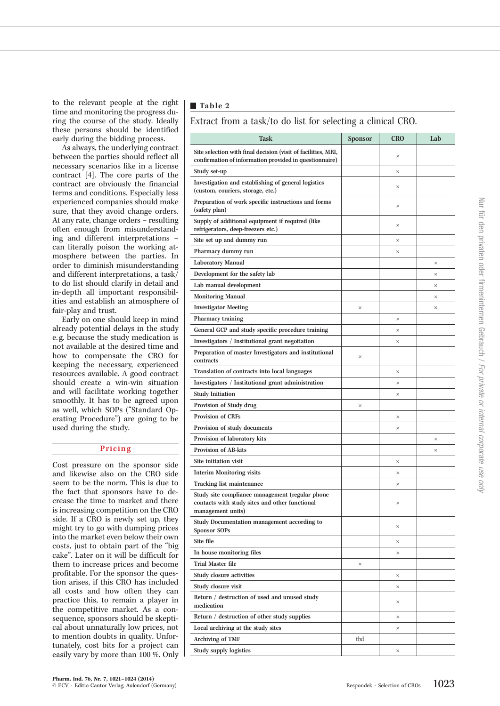to the relevant people at the right time and monitoring the progress during the course of the study. Ideally these persons should be identified early during the bidding process.

As always, the underlying contract between the parties should reflect all necessary scenarios like in a license contract [4]. The core parts of the contract are obviously the financial terms and conditions. Especially less experienced companies should make sure, that they avoid change orders. At any rate, change orders – resulting often enough from misunderstanding and different interpretations – can literally poison the working atmosphere between the parties. In order to diminish misunderstanding and different interpretations, a task/ to do list should clarify in detail and in-depth all important responsibilities and establish an atmosphere of fair-play and trust.

Early on one should keep in mind already potential delays in the study e. g. because the study medication is not available at the desired time and how to compensate the CRO for keeping the necessary, experienced resources available. A good contract should create a win-win situation and will facilitate working together smoothly. It has to be agreed upon as well, which SOPs ("Standard Operating Procedure") are going to be used during the study.

#### Pricing

Cost pressure on the sponsor side and likewise also on the CRO side seem to be the norm. This is due to the fact that sponsors have to decrease the time to market and there is increasing competition on the CRO side. If a CRO is newly set up, they might try to go with dumping prices into the market even below their own costs, just to obtain part of the "big cake". Later on it will be difficult for them to increase prices and become profitable. For the sponsor the question arises, if this CRO has included all costs and how often they can practice this, to remain a player in the competitive market. As a consequence, sponsors should be skeptical about unnaturally low prices, not to mention doubts in quality. Unfortunately, cost bits for a project can easily vary by more than 100 %. Only

#### Table 2

Extract from a task/to do list for selecting a clinical CRO.

| Task                                                                                                                    | <b>Sponsor</b> | <b>CRO</b> | Lab |
|-------------------------------------------------------------------------------------------------------------------------|----------------|------------|-----|
| Site selection with final decision (visit of facilities, MRI,<br>confirmation of information provided in questionnaire) |                | $\times$   |     |
| Study set-up                                                                                                            |                | $\times$   |     |
| Investigation and establishing of general logistics<br>(custom, couriers, storage, etc.)                                |                | $\times$   |     |
| Preparation of work specific instructions and forms<br>(safety plan)                                                    |                | ×          |     |
| Supply of additional equipment if required (like<br>refrigerators, deep-freezers etc.)                                  |                | $\times$   |     |
| Site set up and dummy run                                                                                               |                | $\times$   |     |
| Pharmacy dummy run                                                                                                      |                | $\times$   |     |
| <b>Laboratory Manual</b>                                                                                                |                |            | ×   |
| Development for the safety lab                                                                                          |                |            | ×   |
| Lab manual development                                                                                                  |                |            | ×   |
| <b>Monitoring Manual</b>                                                                                                |                |            | ×   |
| <b>Investigator Meeting</b>                                                                                             | ×              |            | ×   |
| Pharmacy training                                                                                                       |                | ×          |     |
| General GCP and study specific procedure training                                                                       |                | $\times$   |     |
| Investigators / Institutional grant negotiation                                                                         |                | $\times$   |     |
| Preparation of master Investigators and institutional<br>contracts                                                      | $\times$       |            |     |
| Translation of contracts into local languages                                                                           |                | ×          |     |
| Investigators / Institutional grant administration                                                                      |                | $\times$   |     |
| <b>Study Initiation</b>                                                                                                 |                | ×          |     |
| Provision of Study drug                                                                                                 | ×              |            |     |
| <b>Provision of CRFs</b>                                                                                                |                | $\times$   |     |
| Provision of study documents                                                                                            |                | $\times$   |     |
| Provision of laboratory kits                                                                                            |                |            | ×   |
| <b>Provision of AB-kits</b>                                                                                             |                |            | ×   |
| Site initiation visit                                                                                                   |                | $\times$   |     |
| <b>Interim Monitoring visits</b>                                                                                        |                | $\times$   |     |
| Tracking list maintenance                                                                                               |                | $\times$   |     |
| Study site compliance management (regular phone<br>contacts with study sites and other functional<br>management units)  |                | $\times$   |     |
| Study Documentation management according to<br><b>Sponsor SOPs</b>                                                      |                | $\times$   |     |
| Site file                                                                                                               |                | $\times$   |     |
| In house monitoring files                                                                                               |                | $\times$   |     |
| <b>Trial Master file</b>                                                                                                | $\times$       |            |     |
| Study closure activities                                                                                                |                | $\times$   |     |
| Study closure visit                                                                                                     |                | $\times$   |     |
| Return / destruction of used and unused study<br>medication                                                             |                | $\times$   |     |
| Return / destruction of other study supplies                                                                            |                | $\times$   |     |
| Local archiving at the study sites                                                                                      |                | $\times$   |     |
| <b>Archiving of TMF</b>                                                                                                 | tbd            |            |     |
| Study supply logistics                                                                                                  |                | $\times$   |     |
|                                                                                                                         |                |            |     |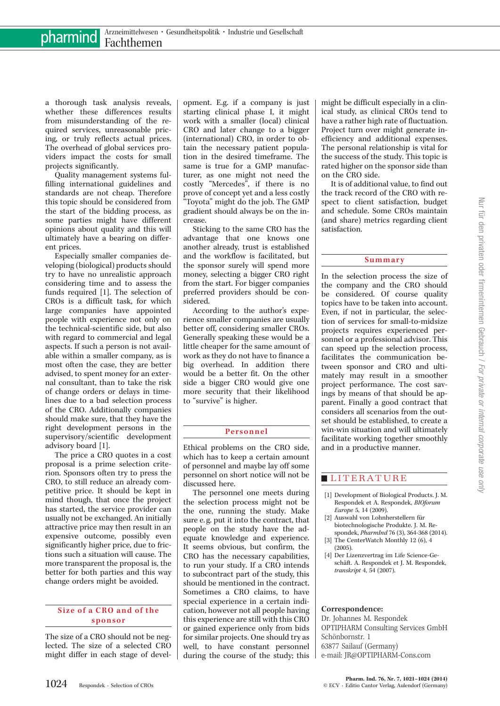a thorough task analysis reveals, whether these differences results from misunderstanding of the required services, unreasonable pricing, or truly reflects actual prices. The overhead of global services providers impact the costs for small projects significantly.

Quality management systems fulfilling international guidelines and standards are not cheap. Therefore this topic should be considered from the start of the bidding process, as some parties might have different opinions about quality and this will ultimately have a bearing on different prices.

Especially smaller companies developing (biological) products should try to have no unrealistic approach considering time and to assess the funds required [1]. The selection of CROs is a difficult task, for which large companies have appointed people with experience not only on the technical-scientific side, but also with regard to commercial and legal aspects. If such a person is not available within a smaller company, as is most often the case, they are better advised, to spent money for an external consultant, than to take the risk of change orders or delays in timelines due to a bad selection process of the CRO. Additionally companies should make sure, that they have the right development persons in the supervisory/scientific development advisory board [1].

The price a CRO quotes in a cost proposal is a prime selection criterion. Sponsors often try to press the CRO, to still reduce an already competitive price. It should be kept in mind though, that once the project has started, the service provider can usually not be exchanged. An initially attractive price may then result in an expensive outcome, possibly even significantly higher price, due to frictions such a situation will cause. The more transparent the proposal is, the better for both parties and this way change orders might be avoided.

#### Size of a CRO and of the sponsor

The size of a CRO should not be neglected. The size of a selected CRO might differ in each stage of devel-

opment. E.g. if a company is just starting clinical phase I, it might work with a smaller (local) clinical CRO and later change to a bigger (international) CRO, in order to obtain the necessary patient population in the desired timeframe. The same is true for a GMP manufacturer, as one might not need the costly "Mercedes", if there is no prove of concept yet and a less costly "Toyota" might do the job. The GMP gradient should always be on the increase.

Sticking to the same CRO has the advantage that one knows one another already, trust is established and the workflow is facilitated, but the sponsor surely will spend more money, selecting a bigger CRO right from the start. For bigger companies preferred providers should be considered.

According to the author's experience smaller companies are usually better off, considering smaller CROs. Generally speaking these would be a little cheaper for the same amount of work as they do not have to finance a big overhead. In addition there would be a better fit. On the other side a bigger CRO would give one more security that their likelihood to "survive" is higher.

### Personnel

Ethical problems on the CRO side, which has to keep a certain amount of personnel and maybe lay off some personnel on short notice will not be discussed here.

The personnel one meets during the selection process might not be the one, running the study. Make sure e. g. put it into the contract, that people on the study have the adequate knowledge and experience. It seems obvious, but confirm, the CRO has the necessary capabilities, to run your study. If a CRO intends to subcontract part of the study, this should be mentioned in the contract. Sometimes a CRO claims, to have special experience in a certain indication, however not all people having this experience are still with this CRO or gained experience only from bids for similar projects. One should try as well, to have constant personnel during the course of the study; this

might be difficult especially in a clinical study, as clinical CROs tend to have a rather high rate of fluctuation. Project turn over might generate inefficiency and additional expenses. The personal relationship is vital for the success of the study. This topic is rated higher on the sponsor side than on the CRO side.

It is of additional value, to find out the track record of the CRO with respect to client satisfaction, budget and schedule. Some CROs maintain (and share) metrics regarding client satisfaction.

#### Summary

In the selection process the size of the company and the CRO should be considered. Of course quality topics have to be taken into account. Even, if not in particular, the selection of services for small-to-midsize projects requires experienced personnel or a professional advisor. This can speed up the selection process, facilitates the communication between sponsor and CRO and ultimately may result in a smoother project performance. The cost savings by means of that should be apparent. Finally a good contract that considers all scenarios from the outset should be established, to create a win-win situation and will ultimately facilitate working together smoothly and in a productive manner.

### **LITERATURE**

- [1] Development of Biological Products. J. M. Respondek et A. Respondek, BIOforum Europe 5, 14 (2009).
- [2] Auswahl von Lohnherstellern für biotechnologische Produkte. J. M. Re-
- spondek, PharmInd 76 (3), 364-368 (2014). [3] The CenterWatch Monthly 12 (6), 4 (2005).
- [4] Der Lizenzvertrag im Life Science-Geschäft. A. Respondek et J. M. Respondek, transkript 4, 54 (2007).

#### Correspondence:

Dr. Johannes M. Respondek OPTIPHARM Consulting Services GmbH Schönbornstr. 1 63877 Sailauf (Germany) e-mail: [JR@OPTIPHARM-Cons.com](mailto:JR@OPTIPHARM-Cons.com)